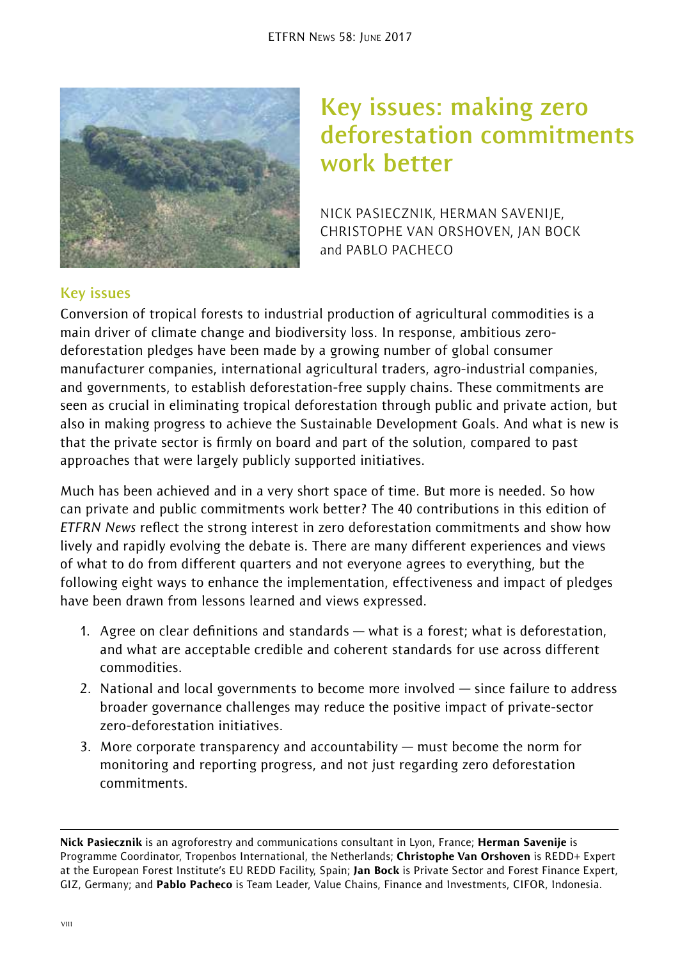

# **Key issues: making zero deforestation commitments work better**

NICK PASIECZNIK, HERMAN SAVENIJE, CHRISTOPHE VAN ORSHOVEN, JAN BOCK and PABLO PACHECO

## **Key issues**

Conversion of tropical forests to industrial production of agricultural commodities is a main driver of climate change and biodiversity loss. In response, ambitious zerodeforestation pledges have been made by a growing number of global consumer manufacturer companies, international agricultural traders, agro-industrial companies, and governments, to establish deforestation-free supply chains. These commitments are seen as crucial in eliminating tropical deforestation through public and private action, but also in making progress to achieve the Sustainable Development Goals. And what is new is that the private sector is firmly on board and part of the solution, compared to past approaches that were largely publicly supported initiatives.

Much has been achieved and in a very short space of time. But more is needed. So how can private and public commitments work better? The 40 contributions in this edition of *ETFRN News* reflect the strong interest in zero deforestation commitments and show how lively and rapidly evolving the debate is. There are many different experiences and views of what to do from different quarters and not everyone agrees to everything, but the following eight ways to enhance the implementation, effectiveness and impact of pledges have been drawn from lessons learned and views expressed.

- 1. Agree on clear definitions and standards what is a forest; what is deforestation, and what are acceptable credible and coherent standards for use across different commodities.
- 2. National and local governments to become more involved since failure to address broader governance challenges may reduce the positive impact of private-sector zero-deforestation initiatives.
- 3. More corporate transparency and accountability must become the norm for monitoring and reporting progress, and not just regarding zero deforestation commitments.

Nick Pasiecznik is an agroforestry and communications consultant in Lyon, France; Herman Savenije is Programme Coordinator, Tropenbos International, the Netherlands; Christophe Van Orshoven is REDD+ Expert at the European Forest Institute's EU REDD Facility, Spain; Jan Bock is Private Sector and Forest Finance Expert, GIZ, Germany; and Pablo Pacheco is Team Leader, Value Chains, Finance and Investments, CIFOR, Indonesia.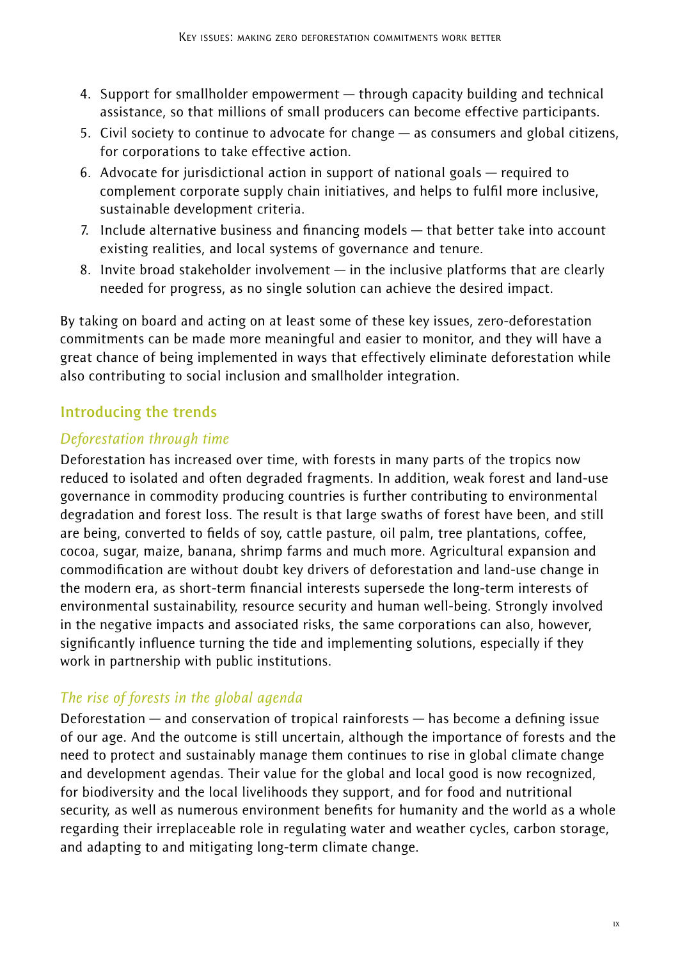- 4. Support for smallholder empowerment through capacity building and technical assistance, so that millions of small producers can become effective participants.
- 5. Civil society to continue to advocate for change as consumers and global citizens, for corporations to take effective action.
- 6. Advocate for jurisdictional action in support of national goals required to complement corporate supply chain initiatives, and helps to fulfil more inclusive, sustainable development criteria.
- 7. Include alternative business and financing models that better take into account existing realities, and local systems of governance and tenure.
- 8. Invite broad stakeholder involvement in the inclusive platforms that are clearly needed for progress, as no single solution can achieve the desired impact.

By taking on board and acting on at least some of these key issues, zero-deforestation commitments can be made more meaningful and easier to monitor, and they will have a great chance of being implemented in ways that effectively eliminate deforestation while also contributing to social inclusion and smallholder integration.

# **Introducing the trends**

# *Deforestation through time*

Deforestation has increased over time, with forests in many parts of the tropics now reduced to isolated and often degraded fragments. In addition, weak forest and land-use governance in commodity producing countries is further contributing to environmental degradation and forest loss. The result is that large swaths of forest have been, and still are being, converted to fields of soy, cattle pasture, oil palm, tree plantations, coffee, cocoa, sugar, maize, banana, shrimp farms and much more. Agricultural expansion and commodification are without doubt key drivers of deforestation and land-use change in the modern era, as short-term financial interests supersede the long-term interests of environmental sustainability, resource security and human well-being. Strongly involved in the negative impacts and associated risks, the same corporations can also, however, significantly influence turning the tide and implementing solutions, especially if they work in partnership with public institutions.

# *The rise of forests in the global agenda*

Deforestation — and conservation of tropical rainforests — has become a defining issue of our age. And the outcome is still uncertain, although the importance of forests and the need to protect and sustainably manage them continues to rise in global climate change and development agendas. Their value for the global and local good is now recognized, for biodiversity and the local livelihoods they support, and for food and nutritional security, as well as numerous environment benefits for humanity and the world as a whole regarding their irreplaceable role in regulating water and weather cycles, carbon storage, and adapting to and mitigating long-term climate change.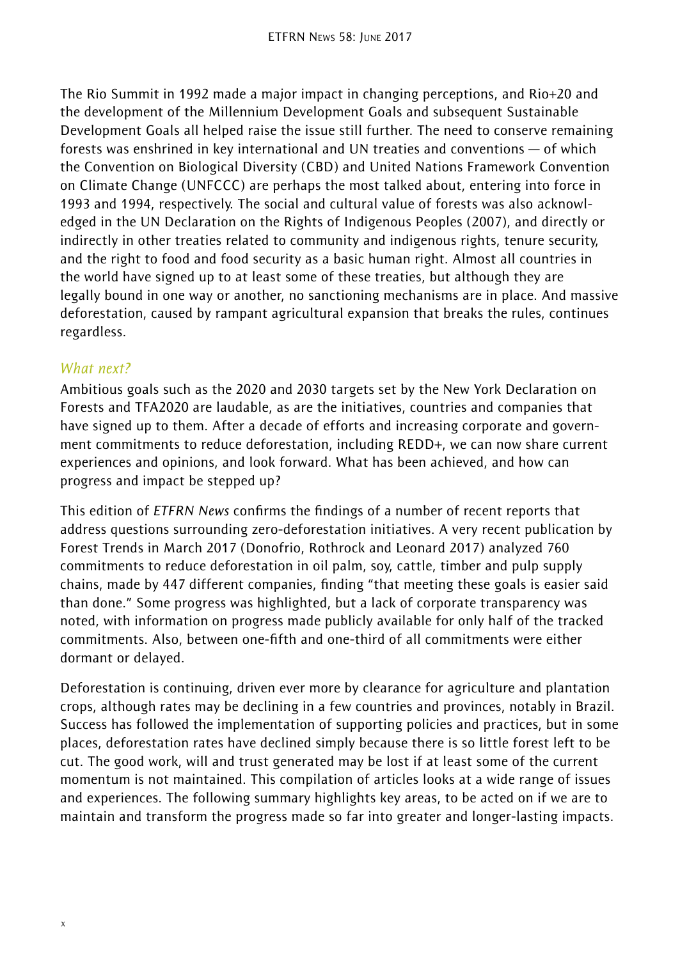The Rio Summit in 1992 made a major impact in changing perceptions, and Rio+20 and the development of the Millennium Development Goals and subsequent Sustainable Development Goals all helped raise the issue still further. The need to conserve remaining forests was enshrined in key international and UN treaties and conventions — of which the Convention on Biological Diversity (CBD) and United Nations Framework Convention on Climate Change (UNFCCC) are perhaps the most talked about, entering into force in 1993 and 1994, respectively. The social and cultural value of forests was also acknowledged in the UN Declaration on the Rights of Indigenous Peoples (2007), and directly or indirectly in other treaties related to community and indigenous rights, tenure security, and the right to food and food security as a basic human right. Almost all countries in the world have signed up to at least some of these treaties, but although they are legally bound in one way or another, no sanctioning mechanisms are in place. And massive deforestation, caused by rampant agricultural expansion that breaks the rules, continues regardless.

### *What next?*

Ambitious goals such as the 2020 and 2030 targets set by the New York Declaration on Forests and TFA2020 are laudable, as are the initiatives, countries and companies that have signed up to them. After a decade of efforts and increasing corporate and government commitments to reduce deforestation, including REDD+, we can now share current experiences and opinions, and look forward. What has been achieved, and how can progress and impact be stepped up?

This edition of *ETFRN News* confirms the findings of a number of recent reports that address questions surrounding zero-deforestation initiatives. A very recent publication by Forest Trends in March 2017 (Donofrio, Rothrock and Leonard 2017) analyzed 760 commitments to reduce deforestation in oil palm, soy, cattle, timber and pulp supply chains, made by 447 different companies, finding "that meeting these goals is easier said than done." Some progress was highlighted, but a lack of corporate transparency was noted, with information on progress made publicly available for only half of the tracked commitments. Also, between one-fifth and one-third of all commitments were either dormant or delayed.

Deforestation is continuing, driven ever more by clearance for agriculture and plantation crops, although rates may be declining in a few countries and provinces, notably in Brazil. Success has followed the implementation of supporting policies and practices, but in some places, deforestation rates have declined simply because there is so little forest left to be cut. The good work, will and trust generated may be lost if at least some of the current momentum is not maintained. This compilation of articles looks at a wide range of issues and experiences. The following summary highlights key areas, to be acted on if we are to maintain and transform the progress made so far into greater and longer-lasting impacts.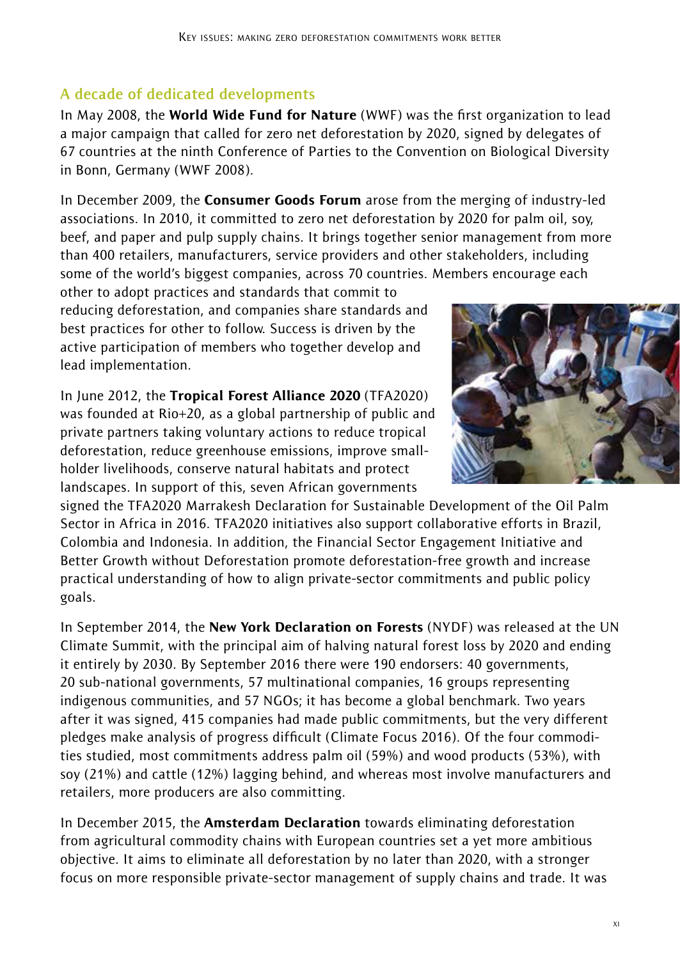# **A decade of dedicated developments**

In Mav 2008, the World Wide Fund for Nature (WWF) was the first organization to lead a major campaign that called for zero net deforestation by 2020, signed by delegates of 67 countries at the ninth Conference of Parties to the Convention on Biological Diversity in Bonn, Germany (WWF 2008).

In December 2009, the **Consumer Goods Forum** arose from the merging of industry-led associations. In 2010, it committed to zero net deforestation by 2020 for palm oil, soy, beef, and paper and pulp supply chains. It brings together senior management from more than 400 retailers, manufacturers, service providers and other stakeholders, including some of the world's biggest companies, across 70 countries. Members encourage each

other to adopt practices and standards that commit to reducing deforestation, and companies share standards and best practices for other to follow. Success is driven by the active participation of members who together develop and lead implementation.

In June 2012, the Tropical Forest Alliance 2020 (TFA2020) was founded at Rio+20, as a global partnership of public and private partners taking voluntary actions to reduce tropical deforestation, reduce greenhouse emissions, improve smallholder livelihoods, conserve natural habitats and protect landscapes. In support of this, seven African governments



signed the TFA2020 Marrakesh Declaration for Sustainable Development of the Oil Palm Sector in Africa in 2016. TFA2020 initiatives also support collaborative efforts in Brazil, Colombia and Indonesia. In addition, the Financial Sector Engagement Initiative and Better Growth without Deforestation promote deforestation-free growth and increase practical understanding of how to align private-sector commitments and public policy goals.

In September 2014, the New York Declaration on Forests (NYDF) was released at the UN Climate Summit, with the principal aim of halving natural forest loss by 2020 and ending it entirely by 2030. By September 2016 there were 190 endorsers: 40 governments, 20 sub-national governments, 57 multinational companies, 16 groups representing indigenous communities, and 57 NGOs; it has become a global benchmark. Two years after it was signed, 415 companies had made public commitments, but the very different pledges make analysis of progress difficult (Climate Focus 2016). Of the four commodities studied, most commitments address palm oil (59%) and wood products (53%), with soy (21%) and cattle (12%) lagging behind, and whereas most involve manufacturers and retailers, more producers are also committing.

In December 2015, the **Amsterdam Declaration** towards eliminating deforestation from agricultural commodity chains with European countries set a yet more ambitious objective. It aims to eliminate all deforestation by no later than 2020, with a stronger focus on more responsible private-sector management of supply chains and trade. It was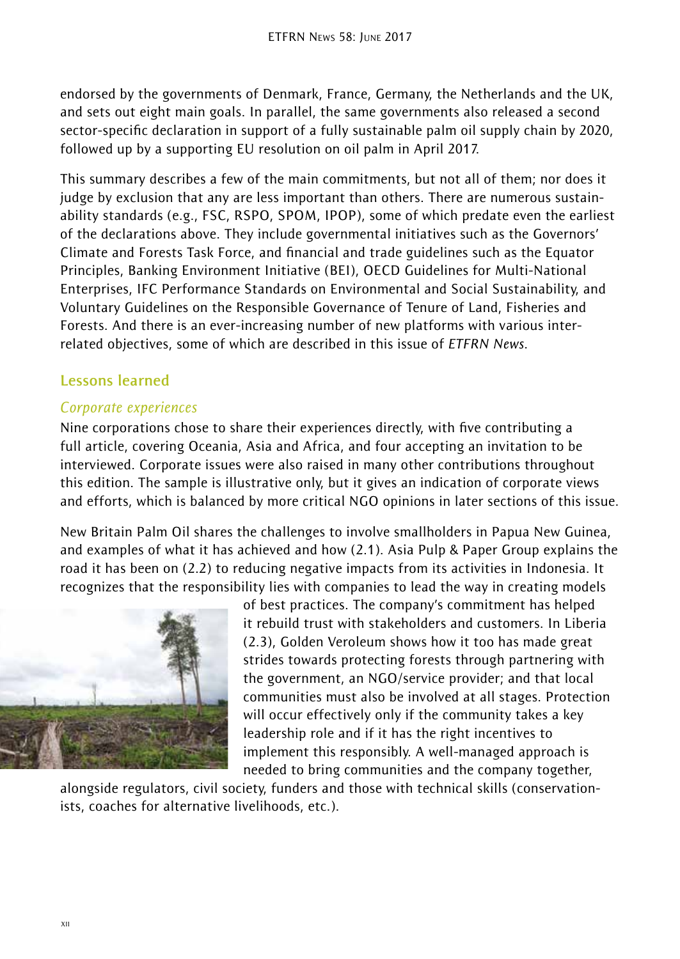endorsed by the governments of Denmark, France, Germany, the Netherlands and the UK, and sets out eight main goals. In parallel, the same governments also released a second sector-specific declaration in support of a fully sustainable palm oil supply chain by 2020, followed up by a supporting EU resolution on oil palm in April 2017.

This summary describes a few of the main commitments, but not all of them; nor does it judge by exclusion that any are less important than others. There are numerous sustainability standards (e.g., FSC, RSPO, SPOM, IPOP), some of which predate even the earliest of the declarations above. They include governmental initiatives such as the Governors' Climate and Forests Task Force, and financial and trade guidelines such as the Equator Principles, Banking Environment Initiative (BEI), OECD Guidelines for Multi-National Enterprises, IFC Performance Standards on Environmental and Social Sustainability, and Voluntary Guidelines on the Responsible Governance of Tenure of Land, Fisheries and Forests. And there is an ever-increasing number of new platforms with various interrelated objectives, some of which are described in this issue of *ETFRN News*.

### **Lessons learned**

#### *Corporate experiences*

Nine corporations chose to share their experiences directly, with five contributing a full article, covering Oceania, Asia and Africa, and four accepting an invitation to be interviewed. Corporate issues were also raised in many other contributions throughout this edition. The sample is illustrative only, but it gives an indication of corporate views and efforts, which is balanced by more critical NGO opinions in later sections of this issue.

New Britain Palm Oil shares the challenges to involve smallholders in Papua New Guinea, and examples of what it has achieved and how (2.1). Asia Pulp & Paper Group explains the road it has been on (2.2) to reducing negative impacts from its activities in Indonesia. It recognizes that the responsibility lies with companies to lead the way in creating models



of best practices. The company's commitment has helped it rebuild trust with stakeholders and customers. In Liberia (2.3), Golden Veroleum shows how it too has made great strides towards protecting forests through partnering with the government, an NGO/service provider; and that local communities must also be involved at all stages. Protection will occur effectively only if the community takes a key leadership role and if it has the right incentives to implement this responsibly. A well-managed approach is needed to bring communities and the company together,

alongside regulators, civil society, funders and those with technical skills (conservationists, coaches for alternative livelihoods, etc.).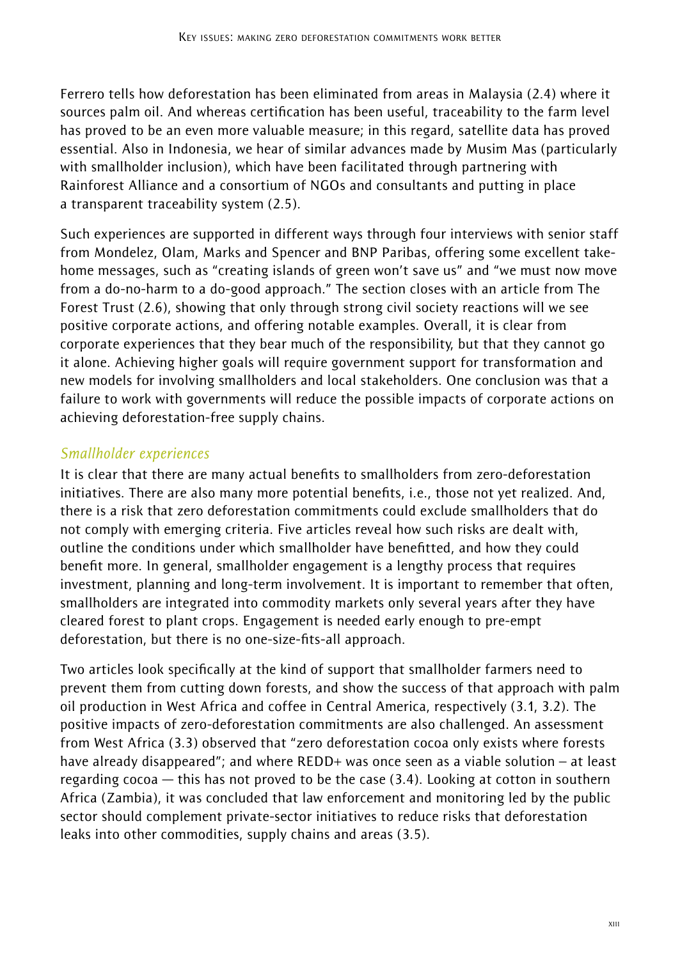Ferrero tells how deforestation has been eliminated from areas in Malaysia (2.4) where it sources palm oil. And whereas certification has been useful, traceability to the farm level has proved to be an even more valuable measure; in this regard, satellite data has proved essential. Also in Indonesia, we hear of similar advances made by Musim Mas (particularly with smallholder inclusion), which have been facilitated through partnering with Rainforest Alliance and a consortium of NGOs and consultants and putting in place a transparent traceability system (2.5).

Such experiences are supported in different ways through four interviews with senior staff from Mondelez, Olam, Marks and Spencer and BNP Paribas, offering some excellent takehome messages, such as "creating islands of green won't save us" and "we must now move from a do-no-harm to a do-good approach." The section closes with an article from The Forest Trust (2.6), showing that only through strong civil society reactions will we see positive corporate actions, and offering notable examples. Overall, it is clear from corporate experiences that they bear much of the responsibility, but that they cannot go it alone. Achieving higher goals will require government support for transformation and new models for involving smallholders and local stakeholders. One conclusion was that a failure to work with governments will reduce the possible impacts of corporate actions on achieving deforestation-free supply chains.

## *Smallholder experiences*

It is clear that there are many actual benefits to smallholders from zero-deforestation initiatives. There are also many more potential benefits, i.e., those not yet realized. And, there is a risk that zero deforestation commitments could exclude smallholders that do not comply with emerging criteria. Five articles reveal how such risks are dealt with, outline the conditions under which smallholder have benefitted, and how they could benefit more. In general, smallholder engagement is a lengthy process that requires investment, planning and long-term involvement. It is important to remember that often, smallholders are integrated into commodity markets only several years after they have cleared forest to plant crops. Engagement is needed early enough to pre-empt deforestation, but there is no one-size-fits-all approach.

Two articles look specifically at the kind of support that smallholder farmers need to prevent them from cutting down forests, and show the success of that approach with palm oil production in West Africa and coffee in Central America, respectively (3.1, 3.2). The positive impacts of zero-deforestation commitments are also challenged. An assessment from West Africa (3.3) observed that "zero deforestation cocoa only exists where forests have already disappeared"; and where REDD+ was once seen as a viable solution – at least regarding cocoa — this has not proved to be the case (3.4). Looking at cotton in southern Africa (Zambia), it was concluded that law enforcement and monitoring led by the public sector should complement private-sector initiatives to reduce risks that deforestation leaks into other commodities, supply chains and areas (3.5).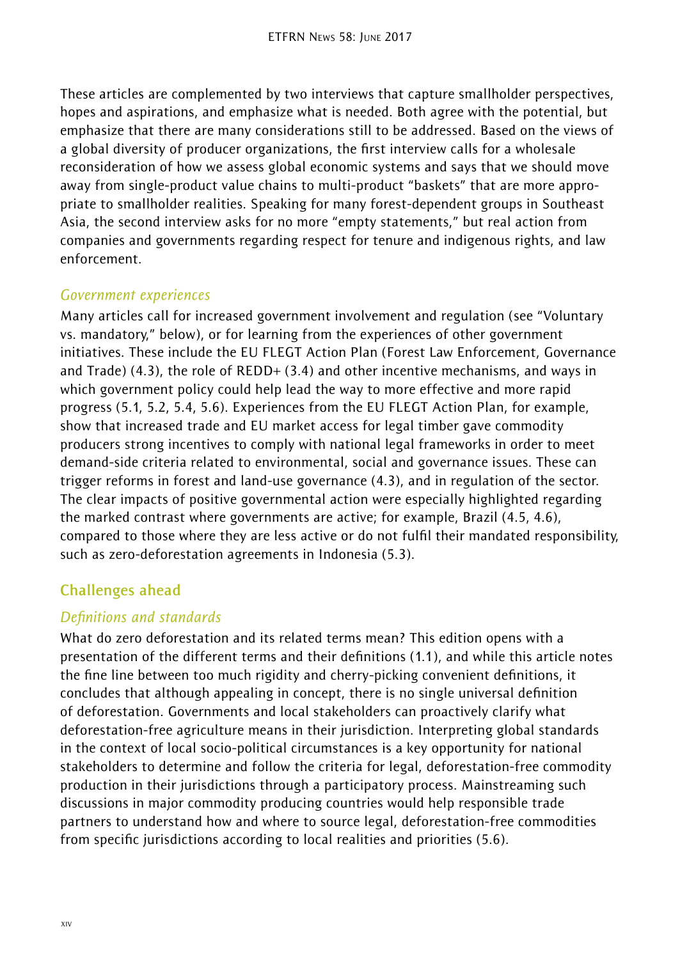These articles are complemented by two interviews that capture smallholder perspectives, hopes and aspirations, and emphasize what is needed. Both agree with the potential, but emphasize that there are many considerations still to be addressed. Based on the views of a global diversity of producer organizations, the first interview calls for a wholesale reconsideration of how we assess global economic systems and says that we should move away from single-product value chains to multi-product "baskets" that are more appropriate to smallholder realities. Speaking for many forest-dependent groups in Southeast Asia, the second interview asks for no more "empty statements," but real action from companies and governments regarding respect for tenure and indigenous rights, and law enforcement.

### *Government experiences*

Many articles call for increased government involvement and regulation (see "Voluntary vs. mandatory," below), or for learning from the experiences of other government initiatives. These include the EU FLEGT Action Plan (Forest Law Enforcement, Governance and Trade)  $(4.3)$ , the role of REDD+  $(3.4)$  and other incentive mechanisms, and ways in which government policy could help lead the way to more effective and more rapid progress (5.1, 5.2, 5.4, 5.6). Experiences from the EU FLEGT Action Plan, for example, show that increased trade and EU market access for legal timber gave commodity producers strong incentives to comply with national legal frameworks in order to meet demand-side criteria related to environmental, social and governance issues. These can trigger reforms in forest and land-use governance (4.3), and in regulation of the sector. The clear impacts of positive governmental action were especially highlighted regarding the marked contrast where governments are active; for example, Brazil (4.5, 4.6), compared to those where they are less active or do not fulfil their mandated responsibility, such as zero-deforestation agreements in Indonesia (5.3).

## **Challenges ahead**

### *Definitions and standards*

What do zero deforestation and its related terms mean? This edition opens with a presentation of the different terms and their definitions (1.1), and while this article notes the fine line between too much rigidity and cherry-picking convenient definitions, it concludes that although appealing in concept, there is no single universal definition of deforestation. Governments and local stakeholders can proactively clarify what deforestation-free agriculture means in their jurisdiction. Interpreting global standards in the context of local socio-political circumstances is a key opportunity for national stakeholders to determine and follow the criteria for legal, deforestation-free commodity production in their jurisdictions through a participatory process. Mainstreaming such discussions in major commodity producing countries would help responsible trade partners to understand how and where to source legal, deforestation-free commodities from specific jurisdictions according to local realities and priorities (5.6).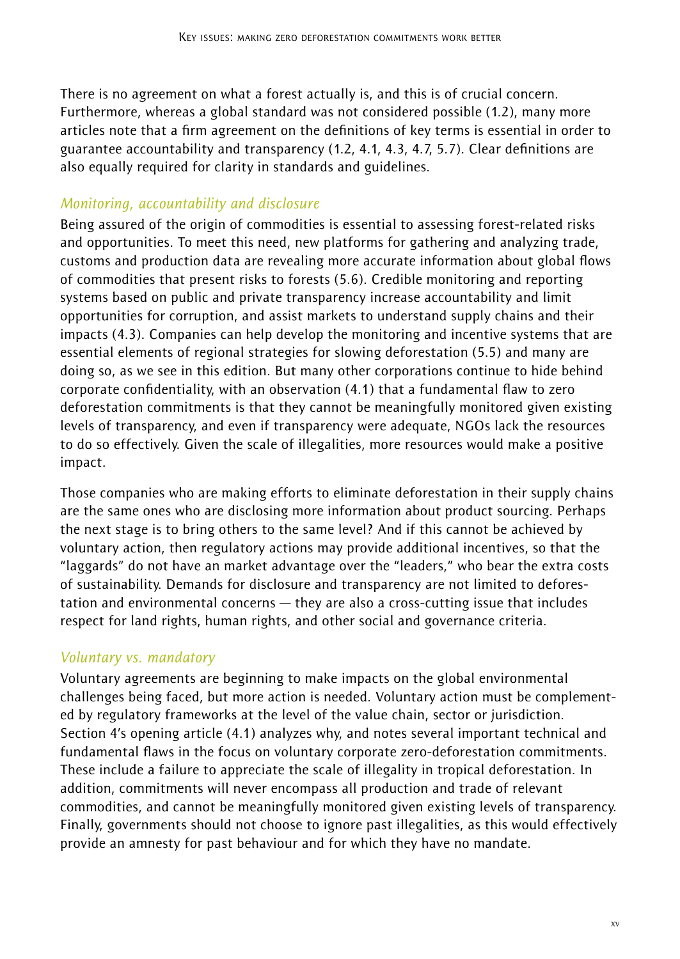There is no agreement on what a forest actually is, and this is of crucial concern. Furthermore, whereas a global standard was not considered possible (1.2), many more articles note that a firm agreement on the definitions of key terms is essential in order to guarantee accountability and transparency (1.2, 4.1, 4.3, 4.7, 5.7). Clear definitions are also equally required for clarity in standards and guidelines.

## *Monitoring, accountability and disclosure*

Being assured of the origin of commodities is essential to assessing forest-related risks and opportunities. To meet this need, new platforms for gathering and analyzing trade, customs and production data are revealing more accurate information about global flows of commodities that present risks to forests (5.6). Credible monitoring and reporting systems based on public and private transparency increase accountability and limit opportunities for corruption, and assist markets to understand supply chains and their impacts (4.3). Companies can help develop the monitoring and incentive systems that are essential elements of regional strategies for slowing deforestation (5.5) and many are doing so, as we see in this edition. But many other corporations continue to hide behind corporate confidentiality, with an observation (4.1) that a fundamental flaw to zero deforestation commitments is that they cannot be meaningfully monitored given existing levels of transparency, and even if transparency were adequate, NGOs lack the resources to do so effectively. Given the scale of illegalities, more resources would make a positive impact.

Those companies who are making efforts to eliminate deforestation in their supply chains are the same ones who are disclosing more information about product sourcing. Perhaps the next stage is to bring others to the same level? And if this cannot be achieved by voluntary action, then regulatory actions may provide additional incentives, so that the "laggards" do not have an market advantage over the "leaders," who bear the extra costs of sustainability. Demands for disclosure and transparency are not limited to deforestation and environmental concerns — they are also a cross-cutting issue that includes respect for land rights, human rights, and other social and governance criteria.

## *Voluntary vs. mandatory*

Voluntary agreements are beginning to make impacts on the global environmental challenges being faced, but more action is needed. Voluntary action must be complemented by regulatory frameworks at the level of the value chain, sector or jurisdiction. Section 4's opening article (4.1) analyzes why, and notes several important technical and fundamental flaws in the focus on voluntary corporate zero-deforestation commitments. These include a failure to appreciate the scale of illegality in tropical deforestation. In addition, commitments will never encompass all production and trade of relevant commodities, and cannot be meaningfully monitored given existing levels of transparency. Finally, governments should not choose to ignore past illegalities, as this would effectively provide an amnesty for past behaviour and for which they have no mandate.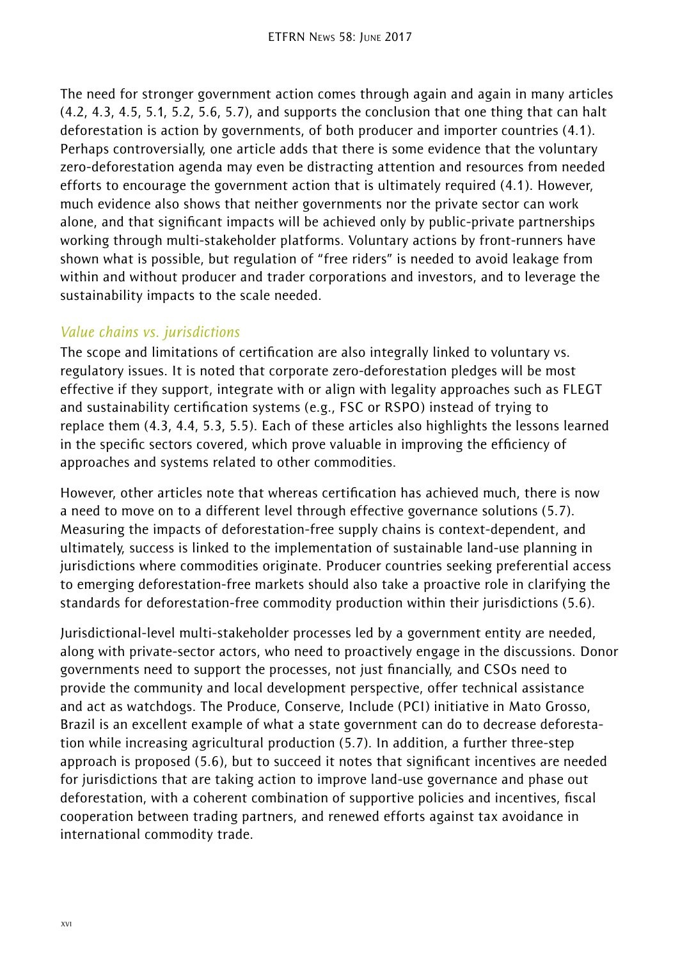The need for stronger government action comes through again and again in many articles (4.2, 4.3, 4.5, 5.1, 5.2, 5.6, 5.7), and supports the conclusion that one thing that can halt deforestation is action by governments, of both producer and importer countries (4.1). Perhaps controversially, one article adds that there is some evidence that the voluntary zero-deforestation agenda may even be distracting attention and resources from needed efforts to encourage the government action that is ultimately required (4.1). However, much evidence also shows that neither governments nor the private sector can work alone, and that significant impacts will be achieved only by public-private partnerships working through multi-stakeholder platforms. Voluntary actions by front-runners have shown what is possible, but regulation of "free riders" is needed to avoid leakage from within and without producer and trader corporations and investors, and to leverage the sustainability impacts to the scale needed.

## *Value chains vs. jurisdictions*

The scope and limitations of certification are also integrally linked to voluntary vs. regulatory issues. It is noted that corporate zero-deforestation pledges will be most effective if they support, integrate with or align with legality approaches such as FLEGT and sustainability certification systems (e.g., FSC or RSPO) instead of trying to replace them (4.3, 4.4, 5.3, 5.5). Each of these articles also highlights the lessons learned in the specific sectors covered, which prove valuable in improving the efficiency of approaches and systems related to other commodities.

However, other articles note that whereas certification has achieved much, there is now a need to move on to a different level through effective governance solutions (5.7). Measuring the impacts of deforestation-free supply chains is context-dependent, and ultimately, success is linked to the implementation of sustainable land-use planning in jurisdictions where commodities originate. Producer countries seeking preferential access to emerging deforestation-free markets should also take a proactive role in clarifying the standards for deforestation-free commodity production within their jurisdictions (5.6).

Jurisdictional-level multi-stakeholder processes led by a government entity are needed, along with private-sector actors, who need to proactively engage in the discussions. Donor governments need to support the processes, not just financially, and CSOs need to provide the community and local development perspective, offer technical assistance and act as watchdogs. The Produce, Conserve, Include (PCI) initiative in Mato Grosso, Brazil is an excellent example of what a state government can do to decrease deforestation while increasing agricultural production (5.7). In addition, a further three-step approach is proposed (5.6), but to succeed it notes that significant incentives are needed for jurisdictions that are taking action to improve land-use governance and phase out deforestation, with a coherent combination of supportive policies and incentives, fiscal cooperation between trading partners, and renewed efforts against tax avoidance in international commodity trade.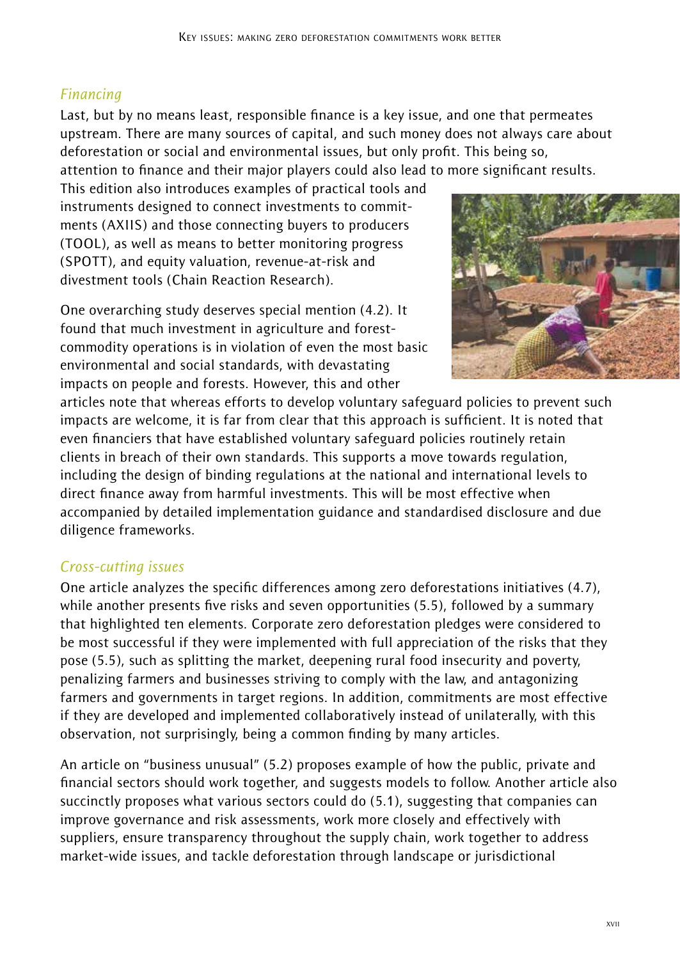# *Financing*

Last, but by no means least, responsible finance is a key issue, and one that permeates upstream. There are many sources of capital, and such money does not always care about deforestation or social and environmental issues, but only profit. This being so,

attention to finance and their major players could also lead to more significant results.

This edition also introduces examples of practical tools and instruments designed to connect investments to commitments (AXIIS) and those connecting buyers to producers (TOOL), as well as means to better monitoring progress (SPOTT), and equity valuation, revenue-at-risk and divestment tools (Chain Reaction Research).



One overarching study deserves special mention (4.2). It found that much investment in agriculture and forestcommodity operations is in violation of even the most basic environmental and social standards, with devastating impacts on people and forests. However, this and other

articles note that whereas efforts to develop voluntary safeguard policies to prevent such impacts are welcome, it is far from clear that this approach is sufficient. It is noted that even financiers that have established voluntary safeguard policies routinely retain clients in breach of their own standards. This supports a move towards regulation, including the design of binding regulations at the national and international levels to direct finance away from harmful investments. This will be most effective when accompanied by detailed implementation guidance and standardised disclosure and due diligence frameworks.

# *Cross-cutting issues*

One article analyzes the specific differences among zero deforestations initiatives (4.7), while another presents five risks and seven opportunities (5.5), followed by a summary that highlighted ten elements. Corporate zero deforestation pledges were considered to be most successful if they were implemented with full appreciation of the risks that they pose (5.5), such as splitting the market, deepening rural food insecurity and poverty, penalizing farmers and businesses striving to comply with the law, and antagonizing farmers and governments in target regions. In addition, commitments are most effective if they are developed and implemented collaboratively instead of unilaterally, with this observation, not surprisingly, being a common finding by many articles.

An article on "business unusual" (5.2) proposes example of how the public, private and financial sectors should work together, and suggests models to follow. Another article also succinctly proposes what various sectors could do (5.1), suggesting that companies can improve governance and risk assessments, work more closely and effectively with suppliers, ensure transparency throughout the supply chain, work together to address market-wide issues, and tackle deforestation through landscape or jurisdictional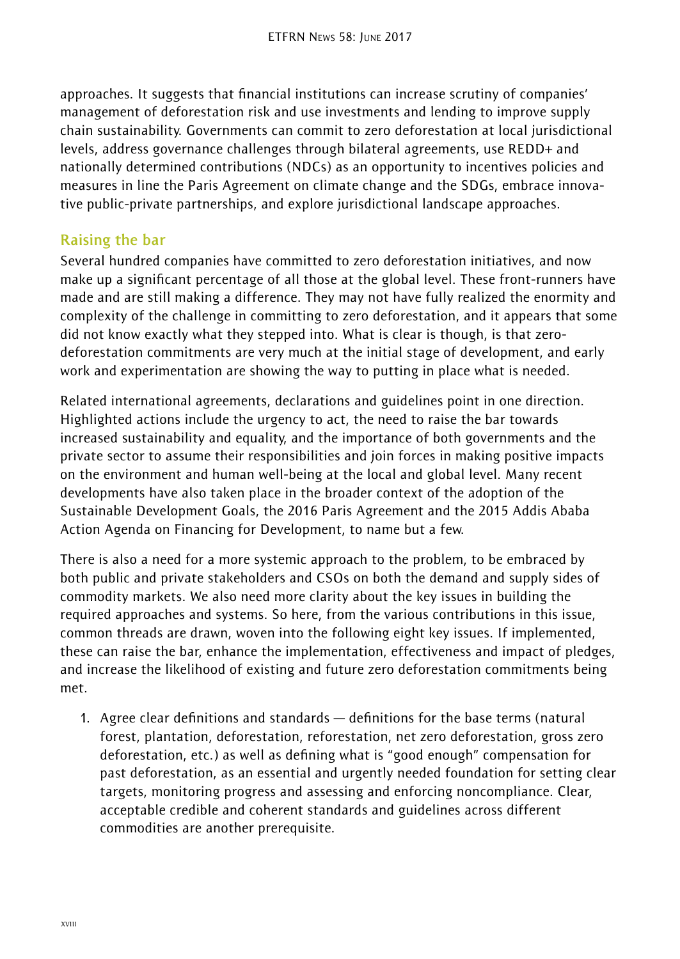approaches. It suggests that financial institutions can increase scrutiny of companies' management of deforestation risk and use investments and lending to improve supply chain sustainability. Governments can commit to zero deforestation at local jurisdictional levels, address governance challenges through bilateral agreements, use REDD+ and nationally determined contributions (NDCs) as an opportunity to incentives policies and measures in line the Paris Agreement on climate change and the SDGs, embrace innovative public-private partnerships, and explore jurisdictional landscape approaches.

## **Raising the bar**

Several hundred companies have committed to zero deforestation initiatives, and now make up a significant percentage of all those at the global level. These front-runners have made and are still making a difference. They may not have fully realized the enormity and complexity of the challenge in committing to zero deforestation, and it appears that some did not know exactly what they stepped into. What is clear is though, is that zerodeforestation commitments are very much at the initial stage of development, and early work and experimentation are showing the way to putting in place what is needed.

Related international agreements, declarations and guidelines point in one direction. Highlighted actions include the urgency to act, the need to raise the bar towards increased sustainability and equality, and the importance of both governments and the private sector to assume their responsibilities and join forces in making positive impacts on the environment and human well-being at the local and global level. Many recent developments have also taken place in the broader context of the adoption of the Sustainable Development Goals, the 2016 Paris Agreement and the 2015 Addis Ababa Action Agenda on Financing for Development, to name but a few.

There is also a need for a more systemic approach to the problem, to be embraced by both public and private stakeholders and CSOs on both the demand and supply sides of commodity markets. We also need more clarity about the key issues in building the required approaches and systems. So here, from the various contributions in this issue, common threads are drawn, woven into the following eight key issues. If implemented, these can raise the bar, enhance the implementation, effectiveness and impact of pledges, and increase the likelihood of existing and future zero deforestation commitments being met.

1. Agree clear definitions and standards — definitions for the base terms (natural forest, plantation, deforestation, reforestation, net zero deforestation, gross zero deforestation, etc.) as well as defining what is "good enough" compensation for past deforestation, as an essential and urgently needed foundation for setting clear targets, monitoring progress and assessing and enforcing noncompliance. Clear, acceptable credible and coherent standards and guidelines across different commodities are another prerequisite.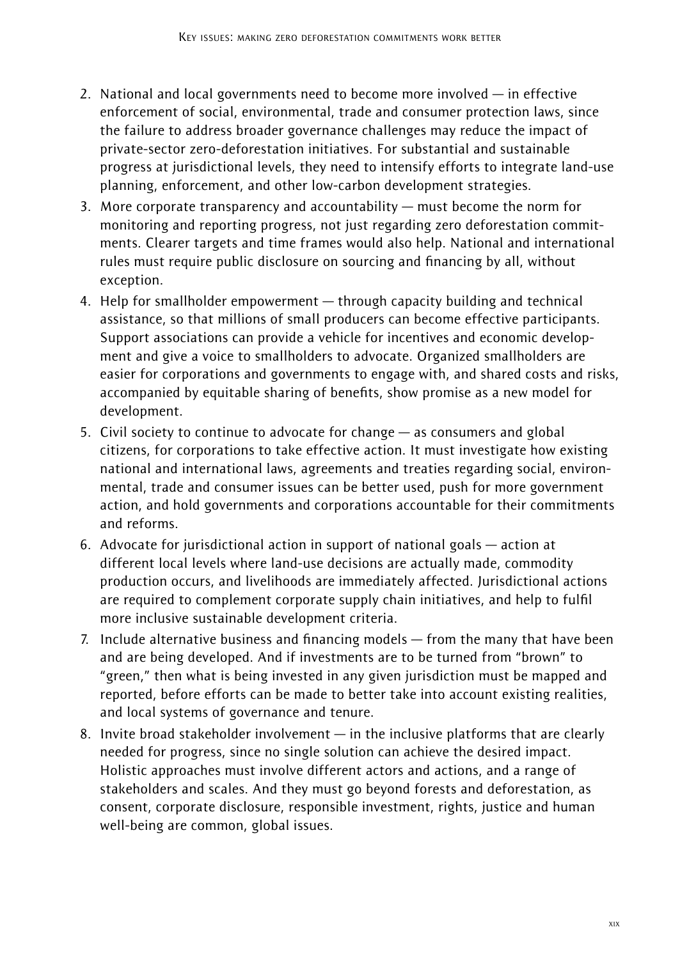- 2. National and local governments need to become more involved in effective enforcement of social, environmental, trade and consumer protection laws, since the failure to address broader governance challenges may reduce the impact of private-sector zero-deforestation initiatives. For substantial and sustainable progress at jurisdictional levels, they need to intensify efforts to integrate land-use planning, enforcement, and other low-carbon development strategies.
- 3. More corporate transparency and accountability must become the norm for monitoring and reporting progress, not just regarding zero deforestation commitments. Clearer targets and time frames would also help. National and international rules must require public disclosure on sourcing and financing by all, without exception.
- 4. Help for smallholder empowerment through capacity building and technical assistance, so that millions of small producers can become effective participants. Support associations can provide a vehicle for incentives and economic development and give a voice to smallholders to advocate. Organized smallholders are easier for corporations and governments to engage with, and shared costs and risks, accompanied by equitable sharing of benefits, show promise as a new model for development.
- 5. Civil society to continue to advocate for change as consumers and global citizens, for corporations to take effective action. It must investigate how existing national and international laws, agreements and treaties regarding social, environmental, trade and consumer issues can be better used, push for more government action, and hold governments and corporations accountable for their commitments and reforms.
- 6. Advocate for jurisdictional action in support of national goals action at different local levels where land-use decisions are actually made, commodity production occurs, and livelihoods are immediately affected. Jurisdictional actions are required to complement corporate supply chain initiatives, and help to fulfil more inclusive sustainable development criteria.
- 7. Include alternative business and financing models from the many that have been and are being developed. And if investments are to be turned from "brown" to "green," then what is being invested in any given jurisdiction must be mapped and reported, before efforts can be made to better take into account existing realities, and local systems of governance and tenure.
- 8. Invite broad stakeholder involvement in the inclusive platforms that are clearly needed for progress, since no single solution can achieve the desired impact. Holistic approaches must involve different actors and actions, and a range of stakeholders and scales. And they must go beyond forests and deforestation, as consent, corporate disclosure, responsible investment, rights, justice and human well-being are common, global issues.